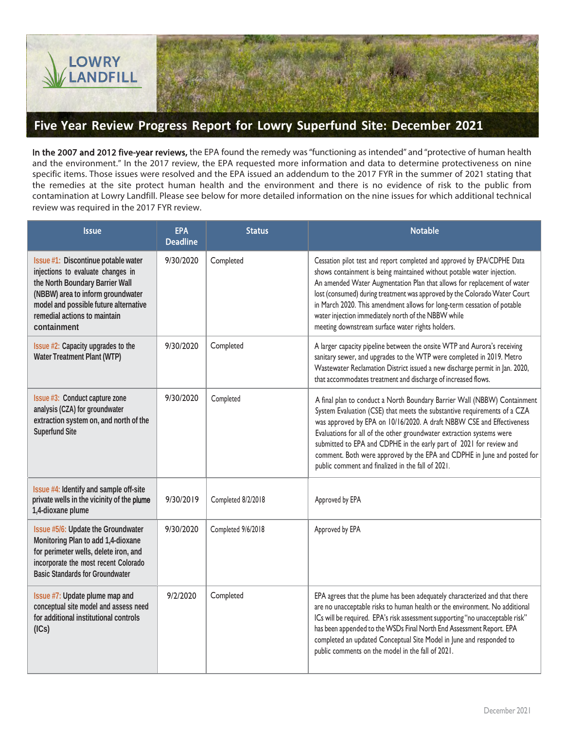

## **Five Year Review Progress Report for Lowry Superfund Site: December 2021**

In the 2007 and 2012 five-year reviews, the EPA found the remedy was "functioning as intended" and "protective of human health and the environment." In the 2017 review, the EPA requested more information and data to determine protectiveness on nine specific items. Those issues were resolved and the EPA issued an addendum to the 2017 FYR in the summer of 2021 stating that the remedies at the site protect human health and the environment and there is no evidence of risk to the public from contamination at Lowry Landfill. Please see below for more detailed information on the nine issues for which additional technical review was required in the 2017 FYR review.

| <b>Issue</b>                                                                                                                                                                                                                             | <b>EPA</b><br><b>Deadline</b> | <b>Status</b>      | <b>Notable</b>                                                                                                                                                                                                                                                                                                                                                                                                                                                                                               |
|------------------------------------------------------------------------------------------------------------------------------------------------------------------------------------------------------------------------------------------|-------------------------------|--------------------|--------------------------------------------------------------------------------------------------------------------------------------------------------------------------------------------------------------------------------------------------------------------------------------------------------------------------------------------------------------------------------------------------------------------------------------------------------------------------------------------------------------|
| Issue #1: Discontinue potable water<br>injections to evaluate changes in<br>the North Boundary Barrier Wall<br>(NBBW) area to inform groundwater<br>model and possible future alternative<br>remedial actions to maintain<br>containment | 9/30/2020                     | Completed          | Cessation pilot test and report completed and approved by EPA/CDPHE Data<br>shows containment is being maintained without potable water injection.<br>An amended Water Augmentation Plan that allows for replacement of water<br>lost (consumed) during treatment was approved by the Colorado Water Court<br>in March 2020. This amendment allows for long-term cessation of potable<br>water injection immediately north of the NBBW while<br>meeting downstream surface water rights holders.             |
| Issue #2: Capacity upgrades to the<br>Water Treatment Plant (WTP)                                                                                                                                                                        | 9/30/2020                     | Completed          | A larger capacity pipeline between the onsite WTP and Aurora's receiving<br>sanitary sewer, and upgrades to the WTP were completed in 2019. Metro<br>Wastewater Reclamation District issued a new discharge permit in Jan. 2020,<br>that accommodates treatment and discharge of increased flows.                                                                                                                                                                                                            |
| Issue #3: Conduct capture zone<br>analysis (CZA) for groundwater<br>extraction system on, and north of the<br>Superfund Site                                                                                                             | 9/30/2020                     | Completed          | A final plan to conduct a North Boundary Barrier Wall (NBBW) Containment<br>System Evaluation (CSE) that meets the substantive requirements of a CZA<br>was approved by EPA on 10/16/2020. A draft NBBW CSE and Effectiveness<br>Evaluations for all of the other groundwater extraction systems were<br>submitted to EPA and CDPHE in the early part of 2021 for review and<br>comment. Both were approved by the EPA and CDPHE in June and posted for<br>public comment and finalized in the fall of 2021. |
| Issue #4: Identify and sample off-site<br>private wells in the vicinity of the plume<br>1,4-dioxane plume                                                                                                                                | 9/30/2019                     | Completed 8/2/2018 | Approved by EPA                                                                                                                                                                                                                                                                                                                                                                                                                                                                                              |
| Issue #5/6: Update the Groundwater<br>Monitoring Plan to add 1,4-dioxane<br>for perimeter wells, delete iron, and<br>incorporate the most recent Colorado<br><b>Basic Standards for Groundwater</b>                                      | 9/30/2020                     | Completed 9/6/2018 | Approved by EPA                                                                                                                                                                                                                                                                                                                                                                                                                                                                                              |
| Issue #7: Update plume map and<br>conceptual site model and assess need<br>for additional institutional controls<br>(ICs)                                                                                                                | 9/2/2020                      | Completed          | EPA agrees that the plume has been adequately characterized and that there<br>are no unacceptable risks to human health or the environment. No additional<br>ICs will be required. EPA's risk assessment supporting "no unacceptable risk"<br>has been appended to the WSDs Final North End Assessment Report. EPA<br>completed an updated Conceptual Site Model in June and responded to<br>public comments on the model in the fall of 2021.                                                               |